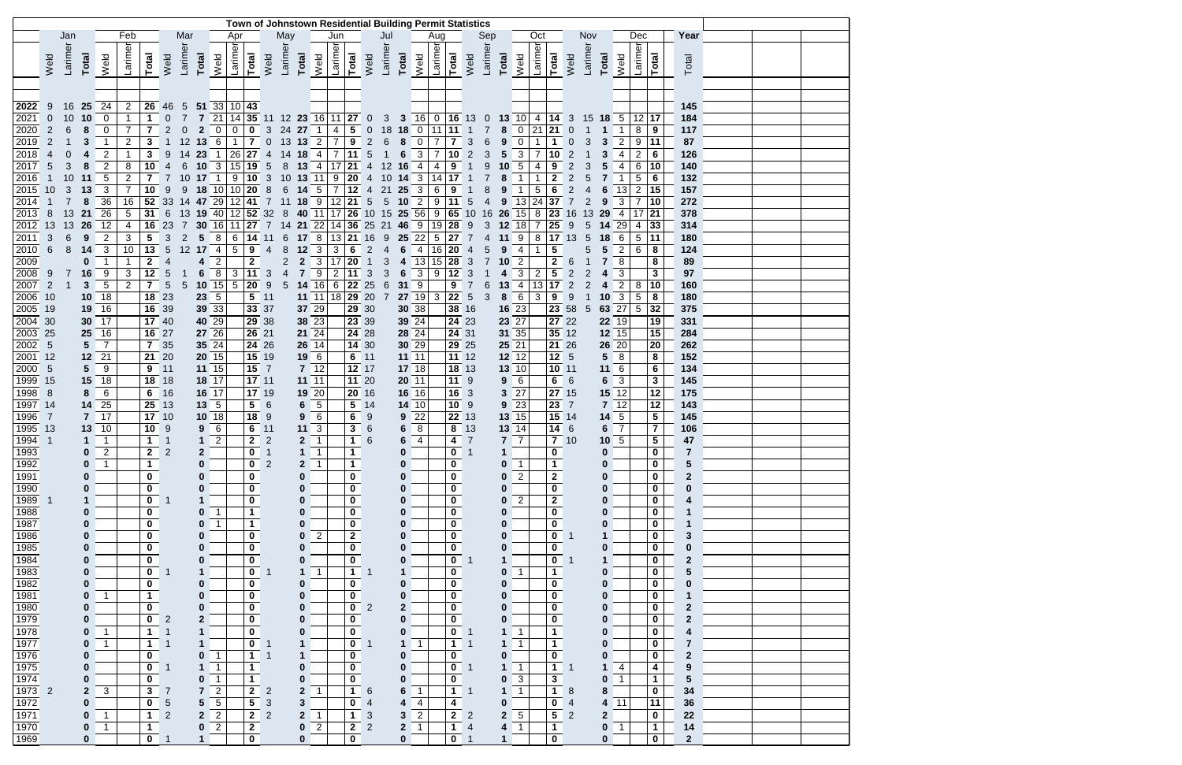|              |                          |         |                |                     |                |                              |                                  |                 |                   |                               |                             |                             | Town of Johnstown Residential Building Permit Statistics |                                                |                |                              |                 |                 |                              |                |                            |                |                      |                 |                              |                         |                         |                   |                |                            |                  |  |
|--------------|--------------------------|---------|----------------|---------------------|----------------|------------------------------|----------------------------------|-----------------|-------------------|-------------------------------|-----------------------------|-----------------------------|----------------------------------------------------------|------------------------------------------------|----------------|------------------------------|-----------------|-----------------|------------------------------|----------------|----------------------------|----------------|----------------------|-----------------|------------------------------|-------------------------|-------------------------|-------------------|----------------|----------------------------|------------------|--|
|              |                          |         | Feb            |                     |                | Mar                          |                                  | Apr             |                   |                               | May                         |                             |                                                          |                                                | Jul            |                              | Aug             |                 |                              | Sep            |                            | Oct            |                      |                 | Nov                          |                         | Dec                     |                   | Year           |                            |                  |  |
|              |                          | Larimer |                |                     | Larimer        |                              |                                  |                 |                   |                               |                             |                             |                                                          |                                                | Larimer        |                              |                 | Larimer         |                              | Larimer        |                            |                | Larimer              | Larimer         |                              |                         | Larimer                 |                   | Larimer        |                            |                  |  |
|              | Weld                     |         | Total          | Weld                |                | Total                        | Weld                             | Larimer         | Total             | Weld                          | Larimer<br>Total            | Weld                        | Larimer<br>Total                                         | Weld                                           |                | Total                        | Weld            |                 | Total<br>Weld                |                | <b>Total</b>               | Weld           | <b>Total</b>         | Weld            | <b>Total</b>                 | Weld                    | Total                   | Weld              |                | Total                      | Total            |  |
|              |                          |         |                |                     |                |                              |                                  |                 |                   |                               |                             |                             |                                                          |                                                |                |                              |                 |                 |                              |                |                            |                |                      |                 |                              |                         |                         |                   |                |                            |                  |  |
|              |                          |         |                |                     |                |                              |                                  |                 |                   |                               |                             |                             |                                                          |                                                |                |                              |                 |                 |                              |                |                            |                |                      |                 |                              |                         |                         |                   |                |                            |                  |  |
|              |                          |         |                |                     |                |                              |                                  |                 |                   |                               |                             |                             |                                                          |                                                |                |                              |                 |                 |                              |                |                            |                |                      |                 |                              |                         |                         |                   |                |                            |                  |  |
| 2022         | 9                        | 16      | 25             | 24                  | $\overline{2}$ | 26                           | 46                               | $5\overline{)}$ | $51\overline{33}$ |                               | $ 10 $ 43                   |                             |                                                          |                                                |                |                              |                 |                 |                              |                |                            |                |                      |                 |                              |                         |                         |                   |                |                            | 145              |  |
| 2021         | $\mathbf 0$              | 10      | 10             | $\overline{0}$      |                | $\mathbf 1$                  | $\boldsymbol{0}$                 |                 | 7                 | 21                            | 35<br>14                    | 11                          | 12 23                                                    |                                                | 16 11          | 27                           | $\overline{0}$  | 3               | 16<br>3                      | $\overline{0}$ | 16                         | 13             | $\overline{0}$<br>13 | 10<br>4         | 14                           | 3                       | 15<br>18                | $5\phantom{.0}$   | $ 12 $ 17      |                            | 184              |  |
| 2020         | $\overline{2}$           | 6       | 8              | $\mathbf 0$         | $\overline{7}$ | $\overline{7}$               | $\overline{2}$                   | 0               | $\mathbf 2$       | 0                             | 0<br>0                      | 3                           | 24<br>27                                                 |                                                | 4              | 5                            | 0               | 18              | $\Omega$<br>18               |                | 11                         |                |                      | 0<br>21         | 21                           |                         |                         |                   | 8              | 9                          | 117              |  |
| 2019         | $\overline{2}$           |         | 3              | $\overline{1}$      | 2              | 3                            |                                  | 12              | 13                | 6                             | $\overline{7}$              | 0                           | 13<br>13                                                 | $\overline{2}$                                 | $\overline{7}$ | 9                            | $\overline{2}$  | 6               | 0                            |                | 7                          |                |                      | 0               | 1                            |                         | 3                       | 2                 | 9              | 11                         | 87               |  |
| 2018         | $\overline{4}$           | 0       |                | $\overline{2}$      | -1             | 3                            | 9                                | 14              | 23                | -1                            | 26<br>27                    | 4                           | 18<br>14                                                 | $\overline{4}$                                 |                | 11                           | 5               |                 | 3                            |                | 10                         | 2              |                      | 3               | 10                           | ာ                       |                         | 4                 | $\overline{2}$ | 6                          | 126              |  |
| 2017         | 5                        | 3       |                | $\overline{2}$      | 8              | 10                           | 4                                | 6               | 10                | 3                             | 15<br>19                    | 5                           | 8<br>13                                                  | 4                                              | 17             | 21                           |                 | 12              | 4<br>16                      | 4              | 9                          |                |                      | 5               | 9                            | C                       |                         |                   | 6              | 10                         | 140              |  |
| 2016         |                          | 10      | 11             | $\sqrt{5}$          | $\overline{2}$ | $\overline{7}$               | $\overline{7}$                   | 10              |                   | -1                            | 10<br>9                     | $\mathfrak{S}$              | 10<br>13                                                 | 11                                             | 9              | 20                           |                 | 10              | 3<br>14                      | 14             | 17                         |                |                      |                 | 2                            | $\mathcal{P}$           |                         |                   | 5              | $6\phantom{1}6$            | 132              |  |
| 2015         | 10                       | 3       | 13             | $\mathbf{3}$        | $\overline{7}$ | 10                           | $9\,$                            | 9               | 18                | 10                            | 20<br>10                    | 8                           | 6<br>14                                                  | 5                                              |                | 12                           |                 | 21              | 3<br>25                      | 6              | 9                          |                |                      |                 | 6                            | $\overline{2}$          |                         | 13                | $\overline{2}$ | 15                         | 157              |  |
| 2014         |                          |         |                | 36                  | 16             | 52                           | 33                               | 14              | 47                | 29                            | 41<br>12                    |                             | 18                                                       | 9                                              | 12             | 21                           | $\overline{5}$  | 5               | $\overline{2}$<br>10         | 9              | 11                         | 5              | 9                    | 13<br>24        | 37                           |                         | 2<br>9                  | 3                 |                | 10                         | 272              |  |
| 2013         | 8                        | 13      | 21             | 26                  | $\sqrt{5}$     | 31                           | 6                                | 13              | 19                | 40                            | 12<br>52                    | 32                          | 8                                                        | 11                                             | 17             | 26                           | 10 <sup>°</sup> | 15              | 56<br>25                     | 9              | 65                         | 10             | 16<br>26             | 15<br>8         | 23                           | 16                      | 13<br>29                | 4                 | 17             | 21                         | 378              |  |
| 2012         | 13                       | 13      | 26             | 12                  | 4              | 16                           | 23                               | 7               | 30                | 16                            | 27<br>11                    | 7                           | 21<br>14                                                 | 22                                             | 14             | 36                           | 25              | 21              | 9<br>46                      | 19             | 28                         | 9              | 3<br>12              | 18              | 25                           | 9                       | 5<br>14                 | 29                | 4              | 33                         | 314              |  |
| 2011         | $\sqrt{3}$               | 6       | 9              | $\overline{2}$      | 3              | 5                            | $\ensuremath{\mathsf{3}}$        | $\overline{c}$  | 5                 | 8                             | 6<br>14                     |                             | 6                                                        | 8                                              | 13             | 21                           | 16              | 9               | 22<br>25                     | $\overline{5}$ | 27                         |                | 4                    | 9<br>8          | 17                           | 13                      | 5<br>18                 | 6                 | $\overline{5}$ | 11                         | 180              |  |
| 2010         | $6\phantom{1}6$          | 8       | 14             | $\sqrt{3}$          | 10             | 13                           | $\sqrt{5}$                       | 12              | 17                | $\overline{4}$                | $\sqrt{5}$<br>9             | 4                           | 8<br>12                                                  | 3                                              | 3              | $\bf 6$                      | $\overline{c}$  |                 | 4                            | 16             | 20                         |                | 5<br>9               | 4<br>1          | 5                            |                         | 5<br>5                  | $\overline{2}$    | 6              | 8                          | 124              |  |
| 2009         |                          |         |                | -1                  | $\overline{1}$ | $\mathbf{2}$                 | 4                                |                 | 4                 | $\overline{2}$                | $\mathbf 2$                 |                             | $\overline{c}$<br>$\mathbf{2}$                           | 3                                              | 17             | 20                           |                 | 3               | 13                           | 15             | 28                         |                | 10                   | $\overline{c}$  | $\mathbf 2$                  | 6                       |                         | 8                 |                | 8                          | 89               |  |
| 2008         | 9                        | 7       | 16             | $\boldsymbol{9}$    | 3              | 12                           | 5                                |                 | 6                 | 8                             | 11<br>$\mathbf{3}$          | 3                           |                                                          | 9                                              | $\overline{2}$ | 11                           | 3               |                 | 3                            | 9              | 12                         | 3              |                      | 3<br>2          | $\sqrt{5}$                   | $\overline{2}$          |                         | $\mathbf{3}$      |                | $\mathbf{3}$               | 97               |  |
| 2007         | $\overline{2}$           |         | $\mathbf{3}$   | $\sqrt{5}$          | 2              | $\overline{7}$               | $\sqrt{5}$                       | 5               | 10                | 15                            | $\sqrt{5}$<br>20            | $\boldsymbol{9}$            | 5<br>14                                                  | 16                                             | $\,6\,$        | 22                           | 25              | $6\phantom{1}6$ | 9<br>31                      |                | 9                          |                | 6<br>13              | 4<br>13         | 17                           | $\overline{2}$          |                         | $\overline{2}$    | 8              | 10                         | 160              |  |
| 2006         | 10                       |         | 10             | 18                  |                | 18                           | 23                               |                 | 23 5              |                               |                             | 5 11                        |                                                          | 11 11                                          | 18             | 29                           | 20              |                 | 27 19                        | $\mathbf{3}$   | 22                         | 5              | 3<br>8               | 6<br>3          | 9                            | 9                       | 10                      | 3                 | $\overline{5}$ | 8                          | 180              |  |
| 2005         | 19                       |         | 19             | 16                  |                | 16                           | 39                               |                 | 39 33             |                               |                             | 33 37                       |                                                          | 37 29                                          |                | 29 30                        |                 |                 | 30 38                        |                | 38 16                      |                |                      | 16 23           |                              | 23 58                   | $\overline{5}$<br>63    | 27                | $\overline{5}$ | 32                         | 375              |  |
| 2004         | 30                       |         | 30             | 17                  |                | 17 40                        |                                  |                 | 40 29             |                               |                             | 29 38                       |                                                          | 38 23                                          |                | 23 39                        |                 |                 | 39 24                        |                | 24 23                      |                |                      | 23 27           |                              | 27 22                   |                         | 22 19             |                | 19                         | 331              |  |
| 2003 25      |                          |         | 25             | 16                  |                | 16 27                        |                                  |                 | 27 26             |                               |                             | 26 21                       |                                                          | 21 24                                          |                | 24 28                        |                 |                 | 28 24                        |                | 24 31                      |                |                      | 31 35           |                              | $35$ 12                 |                         | 12 15             |                | 15                         | 284              |  |
| 2002         | 5                        |         | $5\phantom{1}$ | $\overline{7}$      |                | 7 35                         |                                  |                 | 35 24             |                               |                             | 24 26                       |                                                          | 26 14                                          |                | 14 30                        |                 |                 | 30 29                        |                | 29 25                      |                |                      | 25 21           |                              | 21 26                   |                         | 26 20             |                | 20                         | 262              |  |
| 2001 12      |                          |         | 12             | 21                  |                | 21 20                        |                                  |                 | 20 15             |                               |                             | 15 19                       |                                                          | 19 6                                           |                | 6 11                         |                 |                 | $11$ 11                      |                | 11 12                      |                |                      | 12 12           | 12 <sub>5</sub>              |                         | $\sqrt{5}$              | 8                 |                | 8                          | 152              |  |
| 2000         | $5\phantom{.0}$          |         | 5              | $\boldsymbol{9}$    |                | 9                            | 11                               |                 | 11 15             |                               | 15                          | $\overline{7}$              |                                                          | $7 \overline{)12}$                             |                | 12 17                        |                 |                 | 17 18                        |                | 18 13                      |                |                      | 13 10           | $10$ 11                      |                         | 11                      | $\,6\,$           |                | 6                          | 134              |  |
| 1999         | 15                       |         | 15             | 18                  |                | 18 18                        |                                  |                 | 18 17             |                               |                             | $\overline{\mathbf{17}}$ 11 |                                                          | 11 11                                          |                | 11 20                        |                 |                 | 20 11                        |                | 11                         | 9              | 9                    | $\,6$           | 6                            | 6                       | 6                       | $\sqrt{3}$        |                | $\mathbf{3}$               | 145              |  |
| 1998         | 8                        |         | 8              | $\,6\,$             |                | 6                            | 16                               |                 | 16 17             |                               |                             | 17 19                       |                                                          | 19 20                                          |                | 20 16                        |                 |                 | 16 16                        |                | 16                         | 3              | 3                    | 27              |                              | 27 15                   | 15                      | 12                |                | 12                         | 175              |  |
| 1997         | 14                       |         | 14             | 25                  |                | $25\,$                       | 13                               |                 | $13 \quad 5$      |                               | $\overline{\mathbf{5}}$     | 6                           | 6                                                        | $\sqrt{5}$                                     |                | 5 <sub>5</sub>               | 14              |                 | 14 10                        |                | 10                         | 9              | 9                    | 23              | 23 7                         |                         | $\overline{7}$          | 12                |                | 12                         | 143              |  |
| 1996         | $\overline{7}$           |         | 7              | 17                  |                | 17 10                        |                                  |                 | $10$ 18           |                               | 18                          | $9\,$                       | 9                                                        | $\,6\,$                                        |                | 6                            | 9               |                 | 22<br>9                      |                | 22 13                      |                |                      | 13 15           |                              | 15 14                   | 14                      | $\sqrt{5}$        |                | $\overline{\mathbf{5}}$    | 145              |  |
| 1995         | 13                       |         | 13             | 10                  |                | 10                           | 9                                |                 | 9                 | 6                             | 6                           | 11                          | 11                                                       | $\mathbf{3}$                                   |                | $\mathbf{3}$                 | 6               |                 | 8<br>6                       |                | 8                          | 13             |                      | 13 14           | $14 \quad 6$                 |                         | 6                       | $\overline{7}$    |                | $\overline{\mathbf{r}}$    | 106              |  |
| 1994         |                          |         |                | $\mathbf{1}$        |                | 1                            | $\overline{1}$                   |                 |                   | $\mathbf{2}$                  | $2 \mid$                    | $\overline{2}$              |                                                          | $\overline{1}$<br>$\overline{\mathbf{2}}$      |                | $\mathbf 1$                  | 6               |                 | $\overline{4}$<br>6          |                | 4 <sup>1</sup>             | $\overline{7}$ |                      | $7\overline{7}$ |                              | 7 10                    |                         | $10\overline{5}$  |                | $5\phantom{.0}$            | 47               |  |
|              |                          |         | $\bf{0}$       |                     |                |                              | 2                                |                 | $\mathbf{2}$      |                               | 0                           |                             |                                                          |                                                |                |                              |                 |                 | 0                            |                |                            |                |                      |                 |                              |                         | 0                       |                   |                | 0                          |                  |  |
| 1993<br>1992 |                          |         |                | $\overline{2}$<br>1 |                | $\mathbf{2}$<br>$\mathbf{1}$ |                                  |                 | 0                 |                               | $\mathbf 0$                 | 2                           |                                                          | $\mathbf{1}$<br>$\overline{1}$<br>$\mathbf{2}$ |                | $\mathbf{1}$<br>$\mathbf{1}$ |                 |                 | $\bf{0}$                     |                | 0<br>$\mathbf 0$           |                | O                    | $\mathbf{1}$    | $\bf{0}$<br>$\mathbf{1}$     |                         | 0                       |                   |                | $\mathbf 0$                | 5                |  |
| 1991         |                          |         | 0              |                     |                |                              |                                  |                 |                   |                               | $\mathbf 0$                 |                             |                                                          |                                                |                |                              |                 |                 |                              |                | $\mathbf 0$                |                |                      | $\overline{2}$  | $\overline{\mathbf{2}}$      |                         | $\bf{0}$                |                   |                |                            |                  |  |
| 1990         |                          |         |                |                     |                | $\mathbf 0$                  |                                  |                 | 0                 |                               | $\mathbf 0$                 |                             | 0                                                        |                                                |                | $\mathbf 0$<br>$\mathbf 0$   |                 |                 | $\bf{0}$                     |                | $\mathbf 0$                |                | $\bf{0}$             |                 | $\mathbf 0$                  |                         | 0                       |                   |                | $\mathbf 0$                | 2<br>$\bf{0}$    |  |
| 1989         |                          |         |                |                     |                | $\mathbf{0}$                 | 1                                |                 | 0<br>1            |                               |                             |                             | 0                                                        |                                                |                |                              |                 |                 | $\bf{0}$                     |                |                            |                | O                    |                 |                              |                         | 0                       |                   |                | $\mathbf 0$                | 4                |  |
|              |                          |         |                |                     |                | $\mathbf 0$                  |                                  |                 |                   |                               | $\mathbf 0$                 |                             | 0                                                        |                                                |                | $\mathbf 0$                  |                 |                 | $\bf{0}$                     |                | $\mathbf 0$                |                | 0                    | $\overline{2}$  | $\mathbf{2}$                 |                         |                         |                   |                | $\mathbf 0$                | 1                |  |
| 1988<br>1987 |                          |         | 0<br>0         |                     |                | $\mathbf 0$                  |                                  |                 | 0<br>0            | -1<br>$\overline{\mathbf{1}}$ | $\mathbf{1}$<br>$\mathbf 1$ |                             |                                                          | 0<br>0                                         |                | $\mathbf 0$                  |                 |                 | $\bf{0}$                     |                | $\mathbf 0$                |                | 0                    |                 | $\mathbf 0$                  |                         | 0                       |                   |                | $\mathbf 0$<br>$\mathbf 0$ | 1                |  |
| 1986         |                          |         | 0              |                     |                | $\mathbf 0$<br>$\mathbf 0$   |                                  |                 | 0                 |                               | $\mathbf 0$                 |                             |                                                          | $\overline{2}$<br>0                            |                | $\mathbf 0$<br>$\mathbf{2}$  |                 |                 | $\mathbf 0$<br>$\mathbf 0$   |                | $\mathbf 0$<br>$\mathbf 0$ |                | 0                    |                 | $\mathbf{0}$<br>$\mathbf{0}$ | $\overline{\mathbf{1}}$ | $\bf{0}$<br>$\mathbf 1$ |                   |                | $\mathbf 0$                | 3                |  |
| 1985         |                          |         | 0              |                     |                | $\mathbf 0$                  |                                  |                 | 0                 |                               | $\mathbf 0$                 |                             | 0                                                        |                                                |                | $\mathbf 0$                  |                 |                 | $\mathbf 0$                  |                | $\mathbf 0$                |                | 0                    |                 | $\mathbf 0$                  |                         |                         |                   |                | $\mathbf 0$                | 0                |  |
| 1984         |                          |         |                |                     |                |                              |                                  |                 |                   |                               | $\mathbf 0$                 |                             |                                                          | 0                                              |                |                              |                 |                 |                              |                | $\mathbf 0$                |                |                      |                 | 0 <sub>1</sub>               |                         | 0<br>1                  |                   |                | $\mathbf 0$                | $\mathbf{2}$     |  |
| 1983         |                          |         |                |                     |                | $\mathbf 0$                  |                                  |                 | 0                 |                               | $\mathbf 0$                 |                             |                                                          | $\overline{1}$                                 |                | $\mathbf 0$<br>1             |                 |                 | 0                            |                | $\mathbf 0$                |                |                      | $\mathbf{1}$    | $\mathbf{1}$                 |                         |                         |                   |                |                            | 5                |  |
|              |                          |         | 0              |                     |                | $\mathbf 0$                  |                                  |                 | 1                 |                               |                             |                             | 1                                                        |                                                |                |                              |                 |                 | 1                            |                |                            |                | 0<br>0               |                 |                              |                         | $\bf{0}$                |                   |                | $\mathbf 0$                |                  |  |
| 1982         |                          |         | 0              | -1                  |                | $\mathbf 0$                  |                                  |                 | 0                 |                               | $\mathbf 0$                 |                             | 0                                                        |                                                |                | $\mathbf 0$                  |                 |                 | $\bf{0}$                     |                | $\mathbf 0$                |                |                      |                 | $\mathbf 0$                  |                         | 0                       |                   |                | $\mathbf 0$                | $\bf{0}$         |  |
| 1981         |                          |         | 0              |                     |                | $\mathbf 1$                  |                                  |                 | 0                 |                               | $\mathbf 0$                 |                             | 0                                                        |                                                |                | $\mathbf 0$                  |                 |                 | $\bf{0}$                     |                | $\mathbf 0$                |                | 0                    |                 | $\mathbf 0$                  |                         | 0                       |                   |                | $\mathbf 0$                | 1                |  |
| 1980         |                          |         | 0              |                     |                | $\mathbf 0$                  |                                  |                 | 0                 |                               | $\mathbf 0$                 |                             | 0                                                        |                                                |                | $\mathbf{0}$                 | $\overline{2}$  |                 | $\mathbf{2}$                 |                | $\mathbf 0$                |                | 0                    |                 | $\mathbf 0$                  |                         | 0                       |                   |                | $\mathbf 0$                | $\mathbf{2}$     |  |
| 1979         |                          |         | 0              |                     |                | $\mathbf 0$                  | $\overline{2}$<br>$\overline{1}$ |                 | $\mathbf{2}$      |                               | $\mathbf 0$                 |                             | 0                                                        |                                                |                | $\mathbf 0$                  |                 |                 | $\bf{0}$                     |                | $\mathbf 0$                |                | 0                    |                 | $\mathbf{0}$                 |                         | 0                       |                   |                | $\mathbf 0$                | $\mathbf{2}$     |  |
| 1978         |                          |         | 0              | -1                  |                | 1                            |                                  |                 | 1                 |                               | $\mathbf 0$                 |                             | 0                                                        |                                                |                | $\mathbf 0$                  |                 |                 | 0                            |                | 0 <sub>1</sub>             |                |                      | $\overline{1}$  | $\blacktriangleleft$         |                         | $\bf{0}$                |                   |                | $\mathbf 0$                | $\boldsymbol{4}$ |  |
| 1977         |                          |         | 0              | -1                  |                | 1                            |                                  |                 | 1                 |                               | $\mathbf{0}$                |                             | 1                                                        |                                                |                | $\mathbf{0}$                 |                 |                 | $\mathbf{1}$<br>$\mathbf 1$  |                | 1                          |                |                      | $\mathbf{1}$    | $\blacktriangleleft$         |                         | $\bf{0}$                |                   |                | $\mathbf 0$                | $\overline{7}$   |  |
| 1976         |                          |         | 0              |                     |                | $\mathbf 0$                  |                                  |                 | 0                 | -1                            | 1                           |                             | 1                                                        |                                                |                | $\mathbf 0$                  |                 |                 | $\bf{0}$                     |                | $\mathbf 0$                |                | 0                    |                 | $\mathbf 0$                  |                         | $\bf{0}$                |                   |                | $\mathbf 0$                | $\boldsymbol{2}$ |  |
| 1975         |                          |         |                |                     |                | $\mathbf 0$                  | 1                                |                 | 1                 | $\overline{\mathbf{1}}$       | $\mathbf{1}$                |                             | 0                                                        |                                                |                | $\mathbf 0$                  |                 |                 | $\bf{0}$                     |                | $\mathbf{0}$               |                |                      | $\mathbf{1}$    | $1 \quad 1$                  |                         | $\mathbf 1$             | 4                 |                | 4                          | 9                |  |
| 1974         |                          |         | 0              |                     |                | 0                            |                                  |                 | 0                 | $\overline{1}$                | $\mathbf 1$                 |                             | 0                                                        |                                                |                | $\mathbf 0$                  |                 |                 | $\bf{0}$                     |                | $\mathbf 0$                |                | 0                    | 3               | $\mathbf{3}$                 |                         | $\bf{0}$                | $\mathbf{1}$      |                | $\mathbf 1$                | 5                |  |
| 1973         | $\overline{\phantom{a}}$ |         | $\mathbf{2}$   | 3                   |                | $\mathbf{3}$                 | $\overline{7}$                   |                 | 7                 | $\overline{2}$                | $\mathbf{2}$                | $\overline{c}$              |                                                          | $\overline{1}$<br>$\mathbf{2}$                 |                | $\mathbf 1$                  | 6               |                 | 6<br>$\mathbf{1}$            |                | $1 \quad 1$                |                |                      | $\mathbf{1}$    |                              | 18                      | 8                       |                   |                | $\mathbf 0$                | 34               |  |
| 1972         |                          |         | 0              |                     |                | $\mathbf 0$                  | 5                                |                 | 5                 | $\overline{5}$                | $\sqrt{5}$                  | $\mathfrak{S}$              | 3                                                        |                                                |                | $\mathbf 0$                  | $\overline{4}$  |                 | $\overline{4}$<br>4          |                | 4                          |                | $\bf{0}$             |                 | $\mathbf 0$                  | $\overline{4}$          |                         | $4 \overline{11}$ |                | 11                         | 36               |  |
| 1971         |                          |         | 0              | -1                  |                | $\mathbf 1$                  | $\mathbf 2$                      |                 | $\mathbf 2$       | $\overline{2}$                | $\mathbf{2}$                | $\overline{2}$              |                                                          | $\mathbf{1}$<br>$\mathbf{2}$                   |                | 1                            | $\mathfrak{S}$  |                 | $\overline{2}$<br>3          |                | $2^{\circ}$                | $\overline{2}$ | $\boldsymbol{2}$     | $5\phantom{.0}$ | 5                            | $\overline{2}$          | $\mathbf{2}$            |                   |                | $\mathbf 0$                | 22               |  |
| 1970         |                          |         | 0              |                     |                | $\mathbf 1$                  |                                  |                 | 0                 | 2                             | $\mathbf{2}$                |                             | 0                                                        | $\overline{2}$                                 |                | $2^{\circ}$                  | $\overline{2}$  |                 | $\mathbf{1}$<br>$\mathbf{2}$ |                | 1                          | 4              | 4                    | $\mathbf{1}$    | $\mathbf 1$                  |                         | $\mathbf{0}$            | $\mathbf{1}$      |                | $\mathbf 1$                | 14               |  |
| 1969         |                          |         | $\mathbf 0$    |                     |                | $0 \quad 1$                  |                                  |                 |                   |                               | $\mathbf 0$                 |                             |                                                          | 0                                              |                | $\mathbf 0$                  |                 |                 | $\mathbf{0}$                 |                | 0 <sub>1</sub>             |                | 1                    |                 | $\mathbf 0$                  |                         | $\mathbf 0$             |                   |                | $\mathbf 0$                | $\mathbf{2}$     |  |